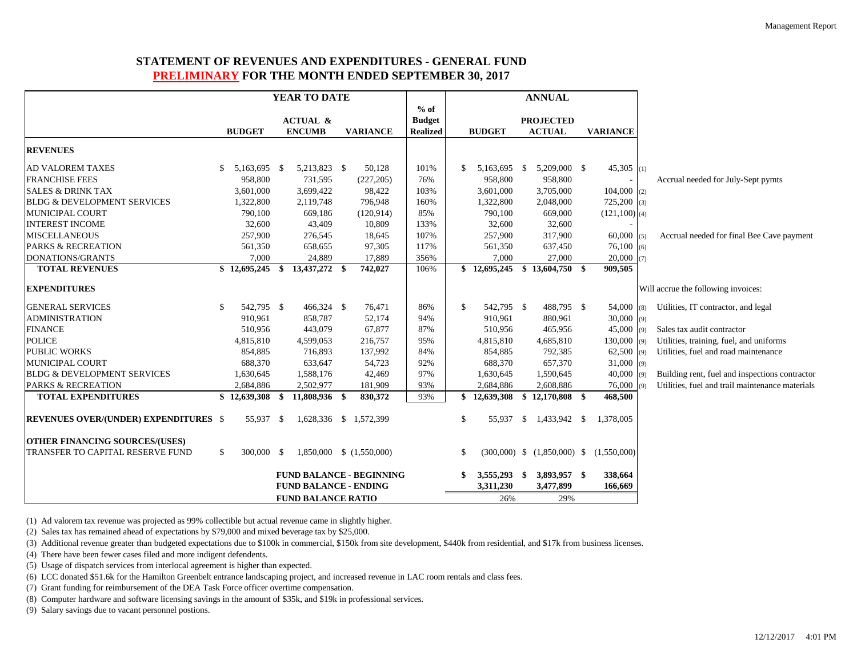## **STATEMENT OF REVENUES AND EXPENDITURES - GENERAL FUND PRELIMINARY FOR THE MONTH ENDED SEPTEMBER 30, 2017**

|                                              |               |                  | YEAR TO DATE                 |                                 |                 |               |                                | <b>ANNUAL</b>             |                                               |     |                                                 |
|----------------------------------------------|---------------|------------------|------------------------------|---------------------------------|-----------------|---------------|--------------------------------|---------------------------|-----------------------------------------------|-----|-------------------------------------------------|
|                                              |               |                  |                              |                                 | $%$ of          |               |                                |                           |                                               |     |                                                 |
|                                              |               |                  | <b>ACTUAL &amp;</b>          |                                 | <b>Budget</b>   |               |                                | <b>PROJECTED</b>          |                                               |     |                                                 |
|                                              |               | <b>BUDGET</b>    | <b>ENCUMB</b>                | <b>VARIANCE</b>                 | <b>Realized</b> |               | <b>BUDGET</b>                  | <b>ACTUAL</b>             | <b>VARIANCE</b>                               |     |                                                 |
| <b>REVENUES</b>                              |               |                  |                              |                                 |                 |               |                                |                           |                                               |     |                                                 |
| <b>AD VALOREM TAXES</b>                      | S.            | 5,163,695 \$     | 5,213,823 \$                 | 50,128                          | 101%            | \$            | 5,163,695 \$                   | 5,209,000 \$              | $45,305$ (1)                                  |     |                                                 |
| <b>FRANCHISE FEES</b>                        |               | 958,800          | 731,595                      | (227, 205)                      | 76%             |               | 958,800                        | 958,800                   |                                               |     | Accrual needed for July-Sept pymts              |
| <b>SALES &amp; DRINK TAX</b>                 |               | 3,601,000        | 3,699,422                    | 98,422                          | 103%            |               | 3,601,000                      | 3,705,000                 | $104,000$ (2)                                 |     |                                                 |
| <b>BLDG &amp; DEVELOPMENT SERVICES</b>       |               | 1,322,800        | 2,119,748                    | 796,948                         | 160%            |               | 1,322,800                      | 2,048,000                 | $725,200$ (3)                                 |     |                                                 |
| <b>MUNICIPAL COURT</b>                       |               | 790,100          | 669,186                      | (120, 914)                      | 85%             |               | 790,100                        | 669,000                   | $(121,100)$ (4)                               |     |                                                 |
| <b>INTEREST INCOME</b>                       |               | 32,600           | 43,409                       | 10,809                          | 133%            |               | 32,600                         | 32,600                    |                                               |     |                                                 |
| <b>MISCELLANEOUS</b>                         |               | 257,900          | 276,545                      | 18,645                          | 107%            |               | 257,900                        | 317,900                   | $60,000$ (5)                                  |     | Accrual needed for final Bee Cave payment       |
| <b>PARKS &amp; RECREATION</b>                |               | 561,350          | 658,655                      | 97,305                          | 117%            |               | 561,350                        | 637,450                   | 76,100(6)                                     |     |                                                 |
| DONATIONS/GRANTS                             |               | 7,000            | 24,889                       | 17,889                          | 356%            |               | 7,000                          | 27,000                    | $20,000$ (7)                                  |     |                                                 |
| <b>TOTAL REVENUES</b>                        |               | $$12,695,245$ \$ | 13,437,272 \$                | 742,027                         | 106%            |               | $$12,695,245$ $$13,604,750$ \$ |                           | 909,505                                       |     |                                                 |
| <b>EXPENDITURES</b>                          |               |                  |                              |                                 |                 |               |                                |                           |                                               |     | Will accrue the following invoices:             |
| <b>GENERAL SERVICES</b>                      | -S            | 542,795 \$       | 466,324 \$                   | 76,471                          | 86%             | <sup>\$</sup> | 542,795 \$                     | 488,795 \$                | 54,000                                        | (8) | Utilities, IT contractor, and legal             |
| <b>ADMINISTRATION</b>                        |               | 910.961          | 858,787                      | 52,174                          | 94%             |               | 910,961                        | 880,961                   | $30,000$ (9)                                  |     |                                                 |
| <b>FINANCE</b>                               |               | 510,956          | 443,079                      | 67,877                          | 87%             |               | 510,956                        | 465,956                   | $45,000$ (9)                                  |     | Sales tax audit contractor                      |
| <b>POLICE</b>                                |               | 4,815,810        | 4,599,053                    | 216,757                         | 95%             |               | 4,815,810                      | 4,685,810                 | $130,000$ (9)                                 |     | Utilities, training, fuel, and uniforms         |
| <b>PUBLIC WORKS</b>                          |               | 854,885          | 716,893                      | 137,992                         | 84%             |               | 854,885                        | 792,385                   | $62,500$ (9)                                  |     | Utilities, fuel and road maintenance            |
| <b>MUNICIPAL COURT</b>                       |               | 688,370          | 633,647                      | 54,723                          | 92%             |               | 688,370                        | 657,370                   | $31,000$ (9)                                  |     |                                                 |
| <b>BLDG &amp; DEVELOPMENT SERVICES</b>       |               | 1,630,645        | 1,588,176                    | 42,469                          | 97%             |               | 1,630,645                      | 1,590,645                 | $40,000$ (9)                                  |     | Building rent, fuel and inspections contractor  |
| <b>PARKS &amp; RECREATION</b>                |               | 2,684,886        | 2,502,977                    | 181,909                         | 93%             |               | 2,684,886                      | 2,608,886                 | 76,000                                        | (9) | Utilities, fuel and trail maintenance materials |
| <b>TOTAL EXPENDITURES</b>                    |               | $$12,639,308$ \$ | 11,808,936 \$                | 830,372                         | 93%             | \$            | 12,639,308                     | $$12,170,808$ \,          | 468,500                                       |     |                                                 |
| <b>REVENUES OVER/(UNDER) EXPENDITURES \$</b> |               | 55,937 \$        | 1,628,336 \$ 1,572,399       |                                 |                 | \$            | 55,937 \$                      | 1,433,942 \$              | 1.378,005                                     |     |                                                 |
| <b>OTHER FINANCING SOURCES/(USES)</b>        |               |                  |                              |                                 |                 |               |                                |                           |                                               |     |                                                 |
| TRANSFER TO CAPITAL RESERVE FUND             | <sup>\$</sup> | 300,000 \$       |                              | $1,850,000 \quad $ (1,550,000)$ |                 | \$            |                                |                           | $(300,000)$ \$ $(1,850,000)$ \$ $(1,550,000)$ |     |                                                 |
|                                              |               |                  | <b>FUND BALANCE - ENDING</b> | <b>FUND BALANCE - BEGINNING</b> |                 | \$            | 3,555,293 \$<br>3,311,230      | 3,893,957 \$<br>3,477,899 | 338,664<br>166,669                            |     |                                                 |
|                                              |               |                  | <b>FUND BALANCE RATIO</b>    |                                 |                 |               | 26%                            | 29%                       |                                               |     |                                                 |

(1) Ad valorem tax revenue was projected as 99% collectible but actual revenue came in slightly higher.

(2) Sales tax has remained ahead of expectations by \$79,000 and mixed beverage tax by \$25,000.

(3) Additional revenue greater than budgeted expectations due to \$100k in commercial, \$150k from site development, \$440k from residential, and \$17k from business licenses.

(4) There have been fewer cases filed and more indigent defendents.

(5) Usage of dispatch services from interlocal agreement is higher than expected.

(6) LCC donated \$51.6k for the Hamilton Greenbelt entrance landscaping project, and increased revenue in LAC room rentals and class fees.

(7) Grant funding for reimbursement of the DEA Task Force officer overtime compensation.

(8) Computer hardware and software licensing savings in the amount of \$35k, and \$19k in professional services.

(9) Salary savings due to vacant personnel postions.